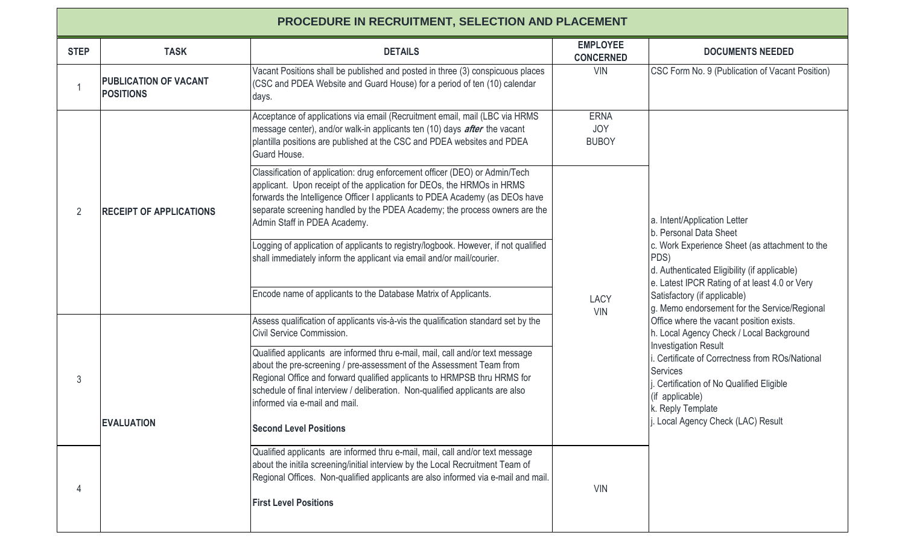| <b>PROCEDURE IN RECRUITMENT, SELECTION AND PLACEMENT</b> |                                                  |                                                                                                                                                                                                                                                                                                                                                                                      |                                           |                                                                                                                                                                                                                                                                                                                                                                                                                                                                                                                                                                                                                     |  |  |  |  |
|----------------------------------------------------------|--------------------------------------------------|--------------------------------------------------------------------------------------------------------------------------------------------------------------------------------------------------------------------------------------------------------------------------------------------------------------------------------------------------------------------------------------|-------------------------------------------|---------------------------------------------------------------------------------------------------------------------------------------------------------------------------------------------------------------------------------------------------------------------------------------------------------------------------------------------------------------------------------------------------------------------------------------------------------------------------------------------------------------------------------------------------------------------------------------------------------------------|--|--|--|--|
| <b>STEP</b>                                              | <b>TASK</b>                                      | <b>DETAILS</b>                                                                                                                                                                                                                                                                                                                                                                       | <b>EMPLOYEE</b><br><b>CONCERNED</b>       | <b>DOCUMENTS NEEDED</b>                                                                                                                                                                                                                                                                                                                                                                                                                                                                                                                                                                                             |  |  |  |  |
| 1                                                        | <b>PUBLICATION OF VACANT</b><br><b>POSITIONS</b> | Vacant Positions shall be published and posted in three (3) conspicuous places<br>(CSC and PDEA Website and Guard House) for a period of ten (10) calendar<br>days.                                                                                                                                                                                                                  | <b>VIN</b>                                | CSC Form No. 9 (Publication of Vacant Position)                                                                                                                                                                                                                                                                                                                                                                                                                                                                                                                                                                     |  |  |  |  |
| $\overline{2}$                                           | <b>RECEIPT OF APPLICATIONS</b>                   | Acceptance of applications via email (Recruitment email, mail (LBC via HRMS<br>message center), and/or walk-in applicants ten (10) days <i>after</i> the vacant<br>plantilla positions are published at the CSC and PDEA websites and PDEA<br>Guard House.                                                                                                                           | <b>ERNA</b><br><b>JOY</b><br><b>BUBOY</b> | a. Intent/Application Letter<br>b. Personal Data Sheet<br>c. Work Experience Sheet (as attachment to the<br>PDS)<br>d. Authenticated Eligibility (if applicable)<br>e. Latest IPCR Rating of at least 4.0 or Very<br>Satisfactory (if applicable)<br>g. Memo endorsement for the Service/Regional<br>Office where the vacant position exists.<br>h. Local Agency Check / Local Background<br><b>Investigation Result</b><br>i. Certificate of Correctness from ROs/National<br><b>Services</b><br>Certification of No Qualified Eligible<br>(if applicable)<br>k. Reply Template<br>Local Agency Check (LAC) Result |  |  |  |  |
|                                                          |                                                  | Classification of application: drug enforcement officer (DEO) or Admin/Tech<br>applicant. Upon receipt of the application for DEOs, the HRMOs in HRMS<br>forwards the Intelligence Officer I applicants to PDEA Academy (as DEOs have<br>separate screening handled by the PDEA Academy; the process owners are the<br>Admin Staff in PDEA Academy.                                  | <b>LACY</b><br><b>VIN</b>                 |                                                                                                                                                                                                                                                                                                                                                                                                                                                                                                                                                                                                                     |  |  |  |  |
|                                                          |                                                  | Logging of application of applicants to registry/logbook. However, if not qualified<br>shall immediately inform the applicant via email and/or mail/courier.                                                                                                                                                                                                                         |                                           |                                                                                                                                                                                                                                                                                                                                                                                                                                                                                                                                                                                                                     |  |  |  |  |
|                                                          |                                                  | Encode name of applicants to the Database Matrix of Applicants.                                                                                                                                                                                                                                                                                                                      |                                           |                                                                                                                                                                                                                                                                                                                                                                                                                                                                                                                                                                                                                     |  |  |  |  |
| 3                                                        | <b>EVALUATION</b>                                | Assess qualification of applicants vis-à-vis the qualification standard set by the<br>Civil Service Commission.                                                                                                                                                                                                                                                                      |                                           |                                                                                                                                                                                                                                                                                                                                                                                                                                                                                                                                                                                                                     |  |  |  |  |
|                                                          |                                                  | Qualified applicants are informed thru e-mail, mail, call and/or text message<br>about the pre-screening / pre-assessment of the Assessment Team from<br>Regional Office and forward qualified applicants to HRMPSB thru HRMS for<br>schedule of final interview / deliberation. Non-qualified applicants are also<br>informed via e-mail and mail.<br><b>Second Level Positions</b> |                                           |                                                                                                                                                                                                                                                                                                                                                                                                                                                                                                                                                                                                                     |  |  |  |  |
| 4                                                        |                                                  | Qualified applicants are informed thru e-mail, mail, call and/or text message<br>about the initila screening/initial interview by the Local Recruitment Team of<br>Regional Offices. Non-qualified applicants are also informed via e-mail and mail.<br><b>First Level Positions</b>                                                                                                 | <b>VIN</b>                                |                                                                                                                                                                                                                                                                                                                                                                                                                                                                                                                                                                                                                     |  |  |  |  |